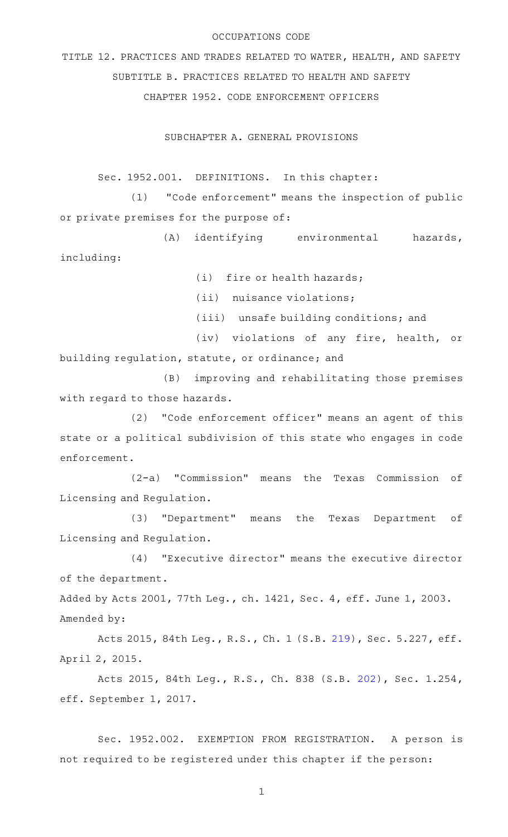## OCCUPATIONS CODE

TITLE 12. PRACTICES AND TRADES RELATED TO WATER, HEALTH, AND SAFETY SUBTITLE B. PRACTICES RELATED TO HEALTH AND SAFETY CHAPTER 1952. CODE ENFORCEMENT OFFICERS

SUBCHAPTER A. GENERAL PROVISIONS

Sec. 1952.001. DEFINITIONS. In this chapter:

(1) "Code enforcement" means the inspection of public or private premises for the purpose of:

(A) identifying environmental hazards, including:

 $(i)$  fire or health hazards;

 $(iii)$  nuisance violations;

(iii) unsafe building conditions; and

(iv) violations of any fire, health, or building regulation, statute, or ordinance; and

(B) improving and rehabilitating those premises with regard to those hazards.

(2) "Code enforcement officer" means an agent of this state or a political subdivision of this state who engages in code enforcement.

(2-a) "Commission" means the Texas Commission of Licensing and Regulation.

(3) "Department" means the Texas Department of Licensing and Regulation.

(4) "Executive director" means the executive director of the department.

Added by Acts 2001, 77th Leg., ch. 1421, Sec. 4, eff. June 1, 2003. Amended by:

Acts 2015, 84th Leg., R.S., Ch. 1 (S.B. [219](http://www.legis.state.tx.us/tlodocs/84R/billtext/html/SB00219F.HTM)), Sec. 5.227, eff. April 2, 2015.

Acts 2015, 84th Leg., R.S., Ch. 838 (S.B. [202](http://www.legis.state.tx.us/tlodocs/84R/billtext/html/SB00202F.HTM)), Sec. 1.254, eff. September 1, 2017.

Sec. 1952.002. EXEMPTION FROM REGISTRATION. A person is not required to be registered under this chapter if the person: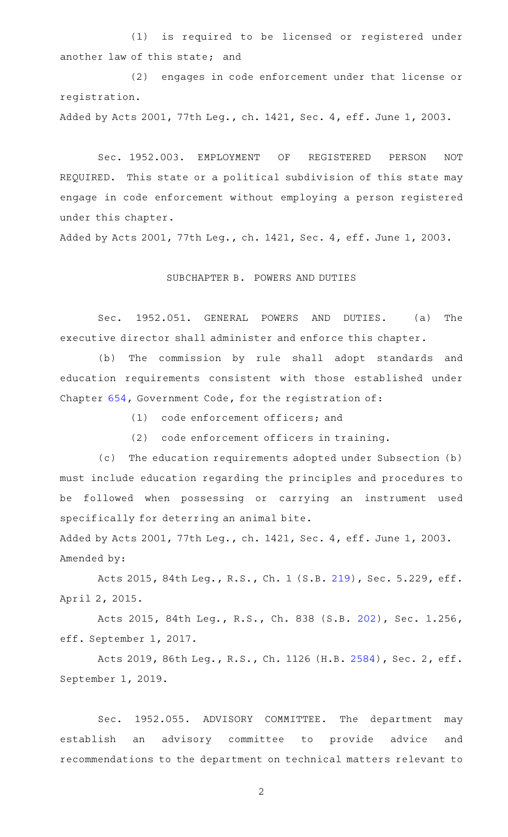(1) is required to be licensed or registered under another law of this state; and

(2) engages in code enforcement under that license or registration.

Added by Acts 2001, 77th Leg., ch. 1421, Sec. 4, eff. June 1, 2003.

Sec. 1952.003. EMPLOYMENT OF REGISTERED PERSON NOT REQUIRED. This state or a political subdivision of this state may engage in code enforcement without employing a person registered under this chapter.

Added by Acts 2001, 77th Leg., ch. 1421, Sec. 4, eff. June 1, 2003.

## SUBCHAPTER B. POWERS AND DUTIES

Sec. 1952.051. GENERAL POWERS AND DUTIES. (a) The executive director shall administer and enforce this chapter.

(b) The commission by rule shall adopt standards and education requirements consistent with those established under Chapter [654,](http://www.statutes.legis.state.tx.us/GetStatute.aspx?Code=GV&Value=654) Government Code, for the registration of:

 $(1)$  code enforcement officers; and

(2) code enforcement officers in training.

(c) The education requirements adopted under Subsection (b) must include education regarding the principles and procedures to be followed when possessing or carrying an instrument used specifically for deterring an animal bite.

Added by Acts 2001, 77th Leg., ch. 1421, Sec. 4, eff. June 1, 2003. Amended by:

Acts 2015, 84th Leg., R.S., Ch. 1 (S.B. [219](http://www.legis.state.tx.us/tlodocs/84R/billtext/html/SB00219F.HTM)), Sec. 5.229, eff. April 2, 2015.

Acts 2015, 84th Leg., R.S., Ch. 838 (S.B. [202](http://www.legis.state.tx.us/tlodocs/84R/billtext/html/SB00202F.HTM)), Sec. 1.256, eff. September 1, 2017.

Acts 2019, 86th Leg., R.S., Ch. 1126 (H.B. [2584](http://www.legis.state.tx.us/tlodocs/86R/billtext/html/HB02584F.HTM)), Sec. 2, eff. September 1, 2019.

Sec. 1952.055. ADVISORY COMMITTEE. The department may establish an advisory committee to provide advice and recommendations to the department on technical matters relevant to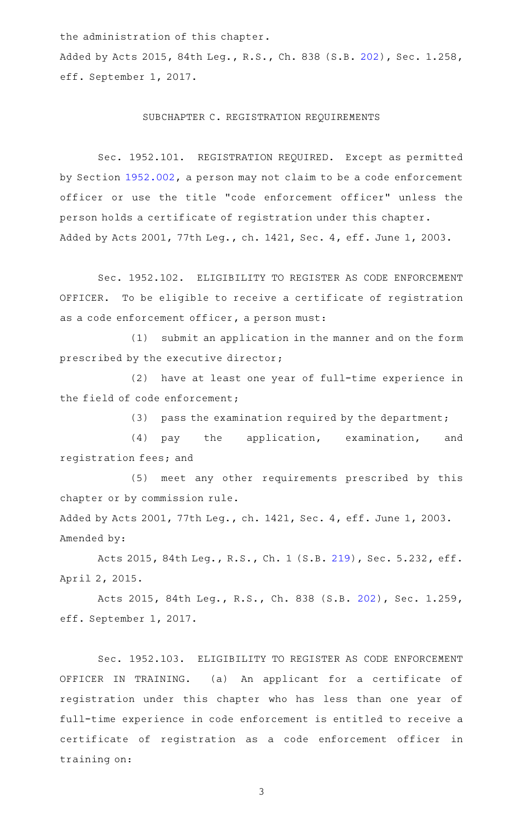the administration of this chapter.

Added by Acts 2015, 84th Leg., R.S., Ch. 838 (S.B. [202\)](http://www.legis.state.tx.us/tlodocs/84R/billtext/html/SB00202F.HTM), Sec. 1.258, eff. September 1, 2017.

## SUBCHAPTER C. REGISTRATION REQUIREMENTS

Sec. 1952.101. REGISTRATION REQUIRED. Except as permitted by Section [1952.002,](http://www.statutes.legis.state.tx.us/GetStatute.aspx?Code=OC&Value=1952.002) a person may not claim to be a code enforcement officer or use the title "code enforcement officer" unless the person holds a certificate of registration under this chapter. Added by Acts 2001, 77th Leg., ch. 1421, Sec. 4, eff. June 1, 2003.

Sec. 1952.102. ELIGIBILITY TO REGISTER AS CODE ENFORCEMENT OFFICER. To be eligible to receive a certificate of registration as a code enforcement officer, a person must:

(1) submit an application in the manner and on the form prescribed by the executive director;

(2) have at least one year of full-time experience in the field of code enforcement;

(3) pass the examination required by the department;

(4) pay the application, examination, and registration fees; and

(5) meet any other requirements prescribed by this chapter or by commission rule.

Added by Acts 2001, 77th Leg., ch. 1421, Sec. 4, eff. June 1, 2003. Amended by:

Acts 2015, 84th Leg., R.S., Ch. 1 (S.B. [219](http://www.legis.state.tx.us/tlodocs/84R/billtext/html/SB00219F.HTM)), Sec. 5.232, eff. April 2, 2015.

Acts 2015, 84th Leg., R.S., Ch. 838 (S.B. [202](http://www.legis.state.tx.us/tlodocs/84R/billtext/html/SB00202F.HTM)), Sec. 1.259, eff. September 1, 2017.

Sec. 1952.103. ELIGIBILITY TO REGISTER AS CODE ENFORCEMENT OFFICER IN TRAINING. (a) An applicant for a certificate of registration under this chapter who has less than one year of full-time experience in code enforcement is entitled to receive a certificate of registration as a code enforcement officer in training on: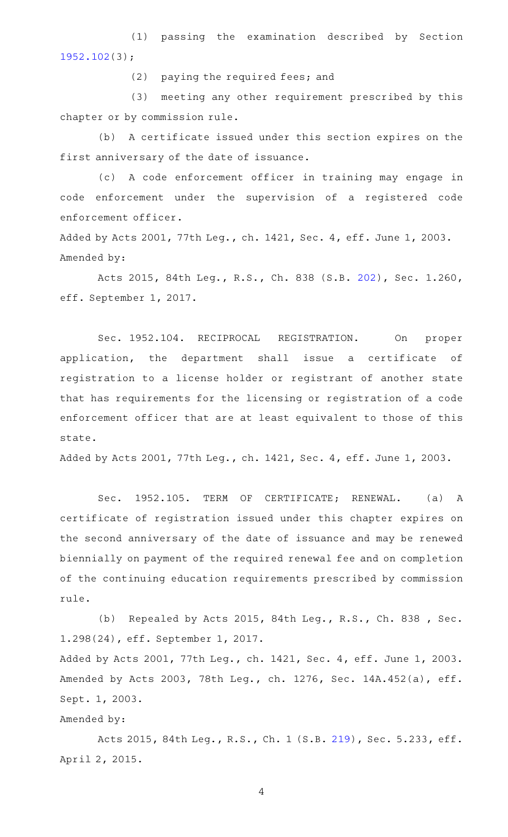(1) passing the examination described by Section [1952.102](http://www.statutes.legis.state.tx.us/GetStatute.aspx?Code=OC&Value=1952.102)(3);

(2) paying the required fees; and

(3) meeting any other requirement prescribed by this chapter or by commission rule.

(b) A certificate issued under this section expires on the first anniversary of the date of issuance.

(c)AAA code enforcement officer in training may engage in code enforcement under the supervision of a registered code enforcement officer.

Added by Acts 2001, 77th Leg., ch. 1421, Sec. 4, eff. June 1, 2003. Amended by:

Acts 2015, 84th Leg., R.S., Ch. 838 (S.B. [202](http://www.legis.state.tx.us/tlodocs/84R/billtext/html/SB00202F.HTM)), Sec. 1.260, eff. September 1, 2017.

Sec. 1952.104. RECIPROCAL REGISTRATION. On proper application, the department shall issue a certificate of registration to a license holder or registrant of another state that has requirements for the licensing or registration of a code enforcement officer that are at least equivalent to those of this state.

Added by Acts 2001, 77th Leg., ch. 1421, Sec. 4, eff. June 1, 2003.

Sec. 1952.105. TERM OF CERTIFICATE; RENEWAL. (a) A certificate of registration issued under this chapter expires on the second anniversary of the date of issuance and may be renewed biennially on payment of the required renewal fee and on completion of the continuing education requirements prescribed by commission rule.

(b) Repealed by Acts 2015, 84th Leg., R.S., Ch. 838, Sec. 1.298(24), eff. September 1, 2017.

Added by Acts 2001, 77th Leg., ch. 1421, Sec. 4, eff. June 1, 2003. Amended by Acts 2003, 78th Leg., ch. 1276, Sec. 14A.452(a), eff. Sept. 1, 2003.

## Amended by:

Acts 2015, 84th Leg., R.S., Ch. 1 (S.B. [219](http://www.legis.state.tx.us/tlodocs/84R/billtext/html/SB00219F.HTM)), Sec. 5.233, eff. April 2, 2015.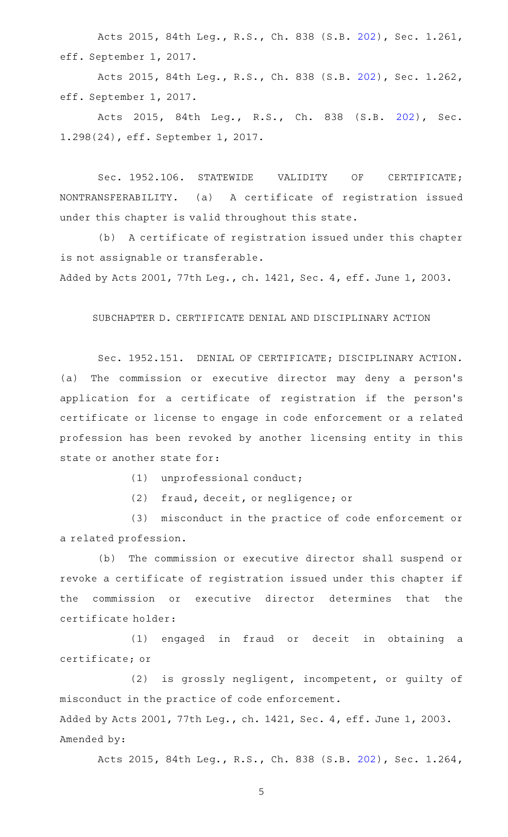Acts 2015, 84th Leg., R.S., Ch. 838 (S.B. [202](http://www.legis.state.tx.us/tlodocs/84R/billtext/html/SB00202F.HTM)), Sec. 1.261, eff. September 1, 2017.

Acts 2015, 84th Leg., R.S., Ch. 838 (S.B. [202](http://www.legis.state.tx.us/tlodocs/84R/billtext/html/SB00202F.HTM)), Sec. 1.262, eff. September 1, 2017.

Acts 2015, 84th Leg., R.S., Ch. 838 (S.B. [202\)](http://www.legis.state.tx.us/tlodocs/84R/billtext/html/SB00202F.HTM), Sec. 1.298(24), eff. September 1, 2017.

Sec. 1952.106. STATEWIDE VALIDITY OF CERTIFICATE; NONTRANSFERABILITY. (a) A certificate of registration issued under this chapter is valid throughout this state.

(b) A certificate of registration issued under this chapter is not assignable or transferable.

Added by Acts 2001, 77th Leg., ch. 1421, Sec. 4, eff. June 1, 2003.

SUBCHAPTER D. CERTIFICATE DENIAL AND DISCIPLINARY ACTION

Sec. 1952.151. DENIAL OF CERTIFICATE; DISCIPLINARY ACTION. (a) The commission or executive director may deny a person's application for a certificate of registration if the person's certificate or license to engage in code enforcement or a related profession has been revoked by another licensing entity in this state or another state for:

(1) unprofessional conduct;

(2) fraud, deceit, or negligence; or

(3) misconduct in the practice of code enforcement or a related profession.

(b) The commission or executive director shall suspend or revoke a certificate of registration issued under this chapter if the commission or executive director determines that the certificate holder:

(1) engaged in fraud or deceit in obtaining a certificate; or

(2) is grossly negligent, incompetent, or guilty of misconduct in the practice of code enforcement. Added by Acts 2001, 77th Leg., ch. 1421, Sec. 4, eff. June 1, 2003.

Amended by:

Acts 2015, 84th Leg., R.S., Ch. 838 (S.B. [202](http://www.legis.state.tx.us/tlodocs/84R/billtext/html/SB00202F.HTM)), Sec. 1.264,